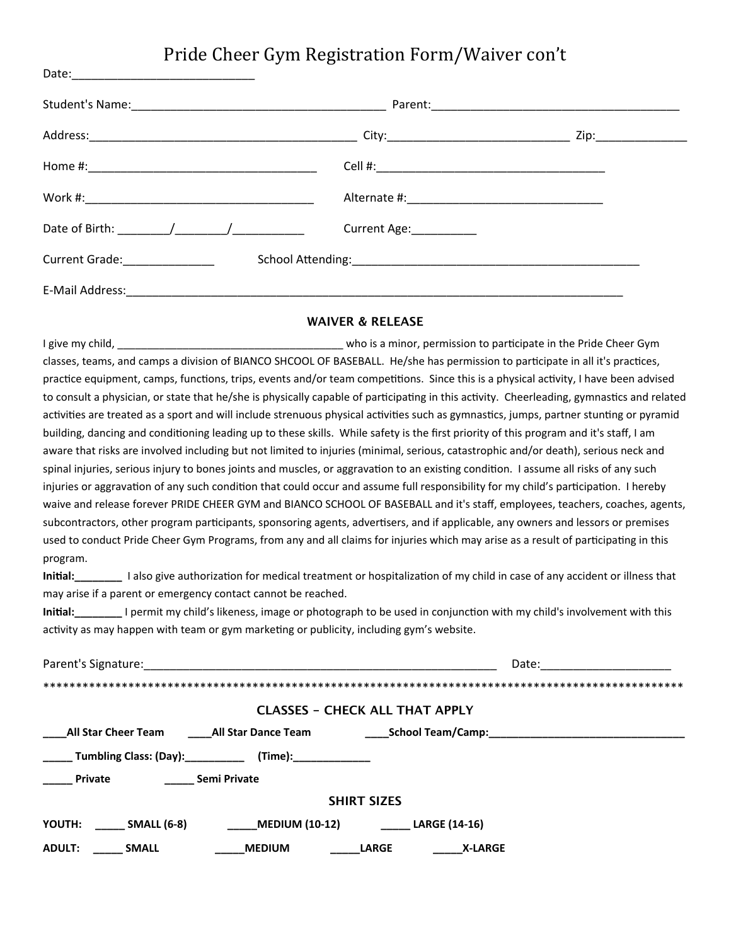#### Pride Cheer Gym Registration Form/Waiver con't

Date:

|                                                      |              | Parent: 2008 - 2008 - 2010 - 2010 - 2010 - 2010 - 2010 - 2010 - 2010 - 2010 - 2010 - 2010 - 2010 - 2010 - 2010 |
|------------------------------------------------------|--------------|----------------------------------------------------------------------------------------------------------------|
|                                                      |              | Zip:_______________                                                                                            |
|                                                      |              |                                                                                                                |
|                                                      |              |                                                                                                                |
| Date of Birth: $\sqrt{2}$                            | Current Age: |                                                                                                                |
| Current Grade: National Action of the Current Grade: |              |                                                                                                                |
|                                                      |              |                                                                                                                |

#### **WAIVER & RELEASE**

I give my child, the price of the state of the state of the state of the state of the cheer Gym classes, teams, and camps a division of BIANCO SHCOOL OF BASEBALL. He/she has permission to participate in all it's practices, practice equipment, camps, functions, trips, events and/or team competitions. Since this is a physical activity, I have been advised to consult a physician, or state that he/she is physically capable of participating in this activity. Cheerleading, gymnastics and related activities are treated as a sport and will include strenuous physical activities such as gymnastics, jumps, partner stunting or pyramid building, dancing and conditioning leading up to these skills. While safety is the first priority of this program and it's staff, I am aware that risks are involved including but not limited to injuries (minimal, serious, catastrophic and/or death), serious neck and spinal injuries, serious injury to bones joints and muscles, or aggravation to an existing condition. I assume all risks of any such injuries or aggravation of any such condition that could occur and assume full responsibility for my child's participation. I hereby waive and release forever PRIDE CHEER GYM and BIANCO SCHOOL OF BASEBALL and it's staff, employees, teachers, coaches, agents, subcontractors, other program participants, sponsoring agents, advertisers, and if applicable, any owners and lessors or premises used to conduct Pride Cheer Gym Programs, from any and all claims for injuries which may arise as a result of participating in this program. 

Initial:\_\_\_\_\_\_\_\_ I also give authorization for medical treatment or hospitalization of my child in case of any accident or illness that may arise if a parent or emergency contact cannot be reached.

**Initial:** I permit my child's likeness, image or photograph to be used in conjunction with my child's involvement with this activity as may happen with team or gym marketing or publicity, including gym's website.

| Parent's Signature:                         |                                                 | Date: |  |
|---------------------------------------------|-------------------------------------------------|-------|--|
|                                             |                                                 |       |  |
|                                             | <b>CLASSES - CHECK ALL THAT APPLY</b>           |       |  |
| All Star Cheer Team All Star Dance Team     |                                                 |       |  |
| <b>Example 12</b> Tumbling Class: (Day):    | (Time):________________                         |       |  |
| <b>Semi Private</b><br><b>Private</b>       |                                                 |       |  |
|                                             | <b>SHIRT SIZES</b>                              |       |  |
| <b>SMALL (6-8)</b> MEDIUM (10-12)<br>YOUTH: | <b>LARGE (14-16)</b>                            |       |  |
| <b>ADULT:</b><br><b>SMALL</b>               | <b>MEDIUM</b><br><b>LARGE</b><br><b>X-LARGE</b> |       |  |